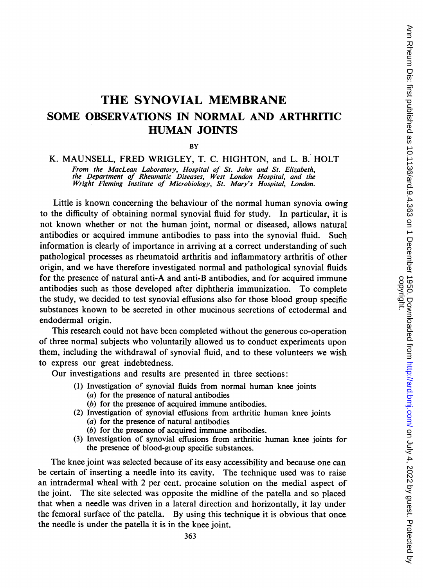# THE SYNOVIAL MEMBRANE SOME OBSERVATIONS IN NORMAL AND ARTHRITIC HUMAN JOINTS

**BY** 

# K. MAUNSELL, FRED WRIGLEY, T. C. HIGHTON, and L. B. HOLT From the MacLean Laboratory, Hospital of St. John and St. Elizabeth, the Department of Rheumatic Diseases, West London Hospital, and the Wright Fleming Institute of Microbiology, St. Mary's Hospital, London.

Little is known concerning the behaviour of the normal human synovia owing to the difficulty of obtaining normal synovial fluid for study. In particular, it is not known whether or not the human joint, normal or diseased, allows natural antibodies or acquired immune antibodies to pass into the synovial fluid. Such information is clearly of importance in arriving at a correct understanding of such pathological processes as rheumatoid arthritis and inflammatory arthritis of other origin, and we have therefore investigated normal and pathological synovial fluids for the presence of natural anti-A and anti-B antibodies, and for acquired immune antibodies such as those developed after diphtheria immunization. To complete the study, we decided to test synovial effusions also for those blood group specific substances known to be secreted in other mucinous secretions of ectodermal and endodermal origin.

This research could not have been completed without the generous co-operation of three normal subjects who voluntarily allowed us to conduct experiments upon them, including the withdrawal of synovial fluid, and to these volunteers we wish to express our great indebtedness.

Our investigations and results are presented in three sections:

- (1) Investigation of synovial fluids from normal human knee joints
	- (a) for the presence of natural antibodies
	- (b) for the presence of acquired immune antibodies.
- (2) Investigation of synovial effusions from arthritic human knee joints (a) for the presence of natural antibodies
	- (b) for the presence of acquired immune antibodies.
- (3) Investigation of synovial effusions from arthritic human knee joints for the presence of blood-gioup specific substances.

The knee joint was selected because of its easy accessibility and because one can be certain of inserting a needle into its cavity. The technique used was to raise an intradermal wheal with 2 per cent. procaine solution on the medial aspect of the joint. The site selected was opposite the midline of the patella and so placed that when a needle was driven in a lateral direction and horizontally, it lay under the femoral surface of the patella. By using this technique it is obvious that once the needle is under the patella it is in the knee joint.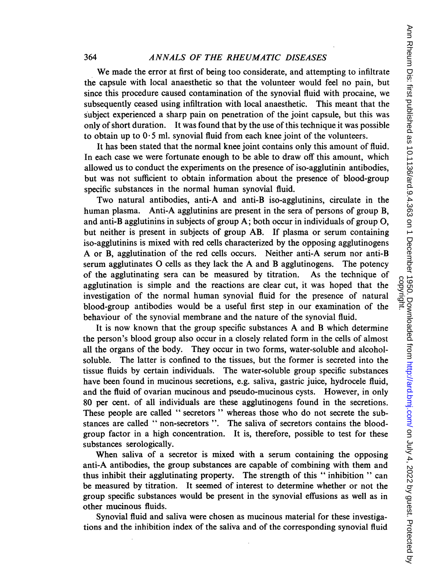We made the error at first of being too considerate, and attempting to infiltrate the capsule with local anaesthetic so that the volunteer would feel no pain, but since this procedure caused contamination of the synovial fluid with procaine, we subsequently ceased using infiltration with local anaesthetic. This meant that the subject experienced a sharp pain on penetration of the joint capsule, but this was only of short duration. It was found that by the use of this technique it was possible to obtain up to  $0.5$  ml. synovial fluid from each knee joint of the volunteers.

It has been stated that the normal knee joint contains only this amount of fluid. In each case we were fortunate enough to be able to draw off this amount, which allowed us to conduct the experiments on the presence of iso-agglutinin antibodies, but was not sufficient to obtain information about the presence of blood-group specific substances in the normal human synovial fluid.

Two natural antibodies, anti-A and anti-B iso-agglutinins, circulate in the human plasma. Anti-A agglutinins are present in the sera of persons of group B, and anti-B agglutinins in subjects of group  $A$ ; both occur in individuals of group  $O$ , but neither is present in subjects of group AB. If plasma or serum containing iso-agglutinins is mixed with red cells characterized by the opposing agglutinogens A or B, agglutination of the red cells occurs. Neither anti-A serum nor anti-B serum agglutinates 0 cells as they lack the A and B agglutinogens. The potency of the agglutinating sera can be measured by titration. As the technique of agglutination is simple and the reactions are clear cut, it was hoped that the investigation of the normal human synovial fluid for the presence of natural blood-group antibodies would be a useful first step in our examination of the behaviour of the synovial membrane and the nature of the synovial fluid.

It is now known that the group specific substances A and B which determine the person's blood group also occur in a closely related form in the cells of almost all the organs of the body. They occur in two forms, water-soluble and alcoholsoluble. The latter is confined to the tissues, but the former is secreted into the tissue fluids by certain individuals. The water-soluble group specific substances have been found in mucinous secretions, e.g. saliva, gastric juice, hydrocele fluid, and the fluid of ovarian mucinous and pseudo-mucinous cysts. However, in only 80 per cent. of all individuals are these agglutinogens found in the secretions. These people are called " secretors " whereas those who do not secrete the substances are called " non-secretors ". The saliva of secretors contains the bloodgroup factor in a high concentration. It is, therefore, possible to test for these substances serologically.

When saliva of a secretor is mixed with a serum containing the opposing anti-A antibodies, the group substances are capable of combining with them and thus inhibit their agglutinating property. The strength of this " inhibition " can be measured by titration. It seemed of interest to determine whether or not the group specific substances would be present in the synovial effusions as well as in other mucinous fluids.

Synovial fluid and saliva were chosen as mucinous material for these investigations and the inhibition index of the saliva and of the corresponding synovial fluid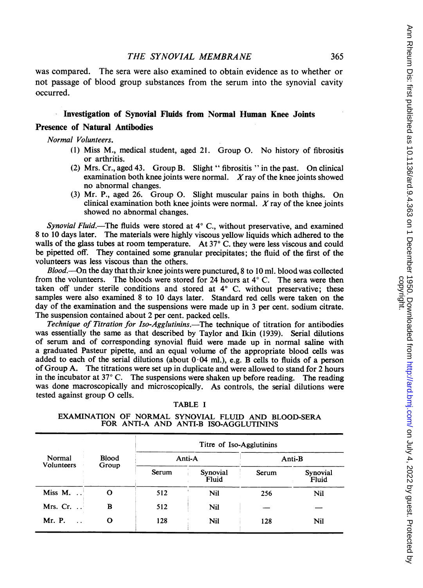was compared. The sera were also examined to obtain evidence as to whether or not passage of blood group substances from the serum into the synovial cavity occurred.

# Investigation of Synovial Fluids from Normal Human Knee Joints

### Presence of Natural Antibodies

Normal Volunteers.

- (1) Miss M., medical student, aged 21. Group 0. No history of fibrositis or arthritis.
- (2) Mrs. Cr., aged 43. Group B. Slight " fibrositis "in the past. On clinical examination both knee joints were normal.  $X$ ray of the knee joints showed no abnormal changes.
- (3) Mr. P., aged 26. Group 0. Slight muscular pains in both thighs. On clinical examination both knee joints were normal.  $X$  ray of the knee joints showed no abnormal changes.

Synovial Fluid.—The fluids were stored at  $4^{\circ}$  C., without preservative, and examined 8 to 10 days later. The materials were highly viscous yellow liquids which adhered to the walls of the glass tubes at room temperature. At  $37^{\circ}$  C. they were less viscous and could be pipetted off. They contained some granular precipitates; the fluid of the first of the volunteers was less viscous than the others.

Blood.---On the day that their knee joints were punctured, 8 to 10 ml. blood was collected from the volunteers. The bloods were stored for 24 hours at  $4^{\circ}$  C. The sera were then taken off under sterile conditions and stored at  $4^{\circ}$  C. without preservative; these samples were also examined 8 to 10 days later. Standard red cells were taken on the day of the examination and the suspensions were made up in <sup>3</sup> per cent. sodium citrate. The suspension contained about 2 per cent. packed cells.

Technique of Titration for Iso-Agglutinins.—The technique of titration for antibodies was essentially the same as that described by Taylor and Ikin (1939). Serial dilutions of serum and of corresponding synovial fluid were made up in normal saline with a graduated Pasteur pipette, and an equal volume of the appropriate blood cells was added to each of the serial dilutions (about  $0.04$  ml.), e.g. B cells to fluids of a person of Group A. The titrations were set up in duplicate and were allowed to stand for 2 hours in the incubator at  $37^{\circ}$  C. The suspensions were shaken up before reading. The reading was done macroscopically and microscopically. As controls, the serial dilutions were tested against group 0 cells.

| . .<br>- 1<br>١ń<br>١ι<br>-. |  |
|------------------------------|--|
|------------------------------|--|

EXAMINATION OF NORMAL SYNOVIAL FLUID AND BLOOD-SERA FOR ANTI-A AND ANTI-B ISO-AGGLUTININS

|                       |                       | Titre of Iso-Agglutinins |                   |        |                   |  |
|-----------------------|-----------------------|--------------------------|-------------------|--------|-------------------|--|
| Normal<br>Volunteers  | <b>Blood</b><br>Group |                          | Anti-A            | Anti-B |                   |  |
|                       |                       | Serum                    | Synovial<br>Fluid | Serum  | Synovial<br>Fluid |  |
| Miss M.               | Ω                     | 512                      | Nil               | 256    | Nil               |  |
| Mrs. Cr.<br>$\ddotsc$ | в                     | 512                      | <b>Nil</b>        |        |                   |  |
| Mr. P.                | o                     | 128                      | Nil               | 128    | Nil               |  |

on July 4, 2022 by guest. Protected by <http://ard.bmj.com/> Ann Rheum Dis: first published as 10.1136/ard.9.4.363 on 1 December 1950. Downloaded from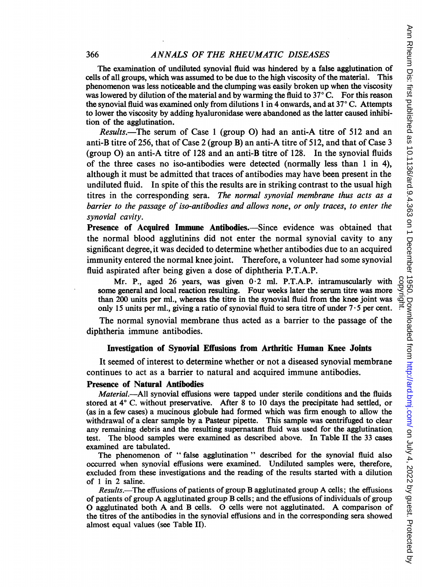The examination of undiluted synovial fluid was hindered by a false agglutination of cells of all groups, which was assumed to be due to the high viscosity of the material. This phenomenon was less noticeable and the clumping was easily broken up when the viscosity was lowered by dilution of the material and by warming the fluid to  $37^{\circ}$  C. For this reason the synovial fluid was examined only from dilutions 1 in 4 onwards, and at  $37^{\circ}$ C. Attempts to lower the viscosity by adding hyaluronidase were abandoned as the latter caused inhibition of the agglutination.

Results.—The serum of Case 1 (group O) had an anti-A titre of 512 and an anti-B titre of 256, that of Case 2 (group B) an anti-A titre of 512, and that of Case 3 (group 0) an anti-A titre of 128 and an anti-B titre of 128. In the synovial fluids of the three cases no iso-antibodies were detected (normally less than <sup>1</sup> in 4), although it must be admitted that traces of antibodies may have been present in the undiluted fluid. In spite of this the results are in striking contrast to the usual high titres in the corresponding sera. The normal synovial membrane thus acts as a barrier to the passage of iso-antibodies and allows none, or only traces, to enter the synovial cavity.

Presence of Acquired Immune Antibodies.—Since evidence was obtained that the normal blood agglutinins did not enter the normal synovial cavity to any significant degree, it was decided to determine whether antibodies due to an acquired immunity entered the normal knee joint. Therefore, a volunteer had some synovial fluid aspirated after being given a dose of diphtheria P.T.A.P.

Mr. P., aged 26 years, was given  $0.2$  ml. P.T.A.P. intramuscularly with some general and local reaction resulting. Four weeks later the serum titre was more than 200 units per ml., whereas the titre in the synovial fluid from the knee joint was Mr. P., aged 26 years, was given  $0.2$  ml. P.T.A.P. intramuscularly with  $\frac{8}{5}$  some general and local reaction resulting. Four weeks later the serum titre was more  $\frac{8}{5}$  than 200 units per ml., whereas the titre i

The normal synovial membrane thus acted as a barrier to the passage of the diphtheria immune antibodies.

# Investigation of Synovial Effusions from Arthritic Human Knee Joints

It seemed of interest to determine whether or not a diseased synovial membrane continues to act as a barrier to natural and acquired immune antibodies.

# Presence of Natural Antibodies

Material.--All synovial effusions were tapped under sterile conditions and the fluids stored at  $4^{\circ}$  C. without preservative. After 8 to 10 days the precipitate had settled, or (as in a few cases) a mucinous globule had formed which was firm enough to allow the withdrawal of a clear sample by a Pasteur pipette. This sample was centrifuged to clear any remaining debris and the resulting supernatant fluid was used for the agglutination. test. The blood samples were examined as described above. In Table II the 33 cases examined are tabulated.

The phenomenon of " false agglutination " described for the synovial fluid also occurred when synovial effusions were examined. Undiluted samples were, therefore, excluded from these investigations and the reading of the results started with a dilution of <sup>1</sup> in 2 saline.

Results.—The effusions of patients of group B agglutinated group A cells; the effusions of patients of group A agglutinated group B cells; and the effusions of individuals of group O agglutinated both A and B cells. 0 cells were not agglutinated. A comparison of the titres of the antibodies in the synovial effusions and in the corresponding sera showed almost equal values (see Table II).

366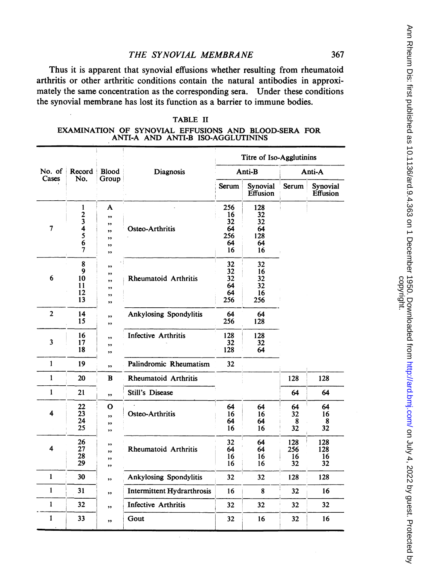# THE SYNOVIAL MEMBRANE

Thus it is apparent that synovial effusions whether resulting from rheumatoid arthritis or other arthritic conditions contain the natural antibodies in approximately the same concentration as the corresponding sera. Under these conditions the synovial membrane has lost its function as a barrier to immune bodies.

### TABLE H

EXAMINATION OF SYNOVIAL EFFUSIONS AND BLOOD-SERA FOR ANTI-A AND ANTI-B ISO-AGGLUTININS

|                                                           |                                                              |                                       |                                   |                                          |                                          | Titre of Iso-Agglutinins |                        |  |
|-----------------------------------------------------------|--------------------------------------------------------------|---------------------------------------|-----------------------------------|------------------------------------------|------------------------------------------|--------------------------|------------------------|--|
| No. of<br>Record<br><b>Blood</b><br>Cases<br>No.<br>Group |                                                              |                                       | Diagnosis                         |                                          | Anti-B                                   | Anti-A                   |                        |  |
|                                                           |                                                              |                                       |                                   | Serum                                    | Synovial<br>Effusion                     | Serum                    | Synovial<br>Effusion   |  |
| 7                                                         | $\frac{1}{2}$ $\frac{3}{4}$ $\frac{4}{5}$ $\frac{5}{6}$<br>ĩ | A<br>,,<br>,,<br>,,<br>,,<br>,,<br>,, | Osteo-Arthritis                   | 256<br>16<br>32<br>64<br>256<br>64<br>16 | 128<br>32<br>32<br>64<br>128<br>64<br>16 |                          |                        |  |
| 6                                                         | 8<br>9<br>10<br>11<br>12<br>13                               | ,,<br>,,<br>,,<br>,,<br>,,<br>,,      | Rheumatoid Arthritis              | 32<br>32<br>32<br>64<br>64<br>256        | 32<br>16<br>32<br>32<br>16<br>256        |                          |                        |  |
| $\overline{2}$                                            | 14<br>15                                                     | ,,<br>,,                              | Ankylosing Spondylitis            | 64<br>256                                | 64<br>128                                |                          |                        |  |
| 3                                                         | 16<br>17<br>18                                               | ,,<br>,,<br>,,                        | <b>Infective Arthritis</b>        | 128<br>32<br>128                         | 128<br>32<br>64                          |                          |                        |  |
| $\mathbf{1}$                                              | 19                                                           | ,,                                    | Palindromic Rheumatism            | 32                                       |                                          |                          |                        |  |
| $\mathbf{1}$                                              | 20                                                           | $\bf{B}$                              | Rheumatoid Arthritis              |                                          |                                          | 128                      | 128                    |  |
| $\mathbf{1}$                                              | 21                                                           | ,,                                    | <b>Still's Disease</b>            |                                          |                                          | 64                       | 64                     |  |
| 4                                                         | 22<br>23<br>24<br>25                                         | O<br>,,<br>,,<br>,,                   | Osteo-Arthritis                   | 64<br>16<br>64<br>16                     | 64<br>16<br>64<br>16                     | 64<br>32<br>8<br>32      | 64<br>16<br>8<br>32    |  |
| 4                                                         | 26<br>27<br>28<br>29                                         | ,,<br>,,<br>,,<br>,,                  | Rheumatoid Arthritis              | 32<br>64<br>16<br>16                     | 64<br>64<br>16<br>16                     | 128<br>256<br>16<br>32   | 128<br>128<br>16<br>32 |  |
| $\mathbf{1}$                                              | 30                                                           | ,,                                    | <b>Ankylosing Spondylitis</b>     | 32                                       | 32                                       | 128                      | 128                    |  |
| 1                                                         | 31                                                           | ,,                                    | <b>Intermittent Hydrarthrosis</b> | 16                                       | 8                                        | 32                       | 16                     |  |
| $\mathbf{1}$                                              | 32                                                           | ,,                                    | <b>Infective Arthritis</b>        | 32                                       | 32                                       | 32                       | 32                     |  |
| 1                                                         | 33                                                           | ,,                                    | Gout                              | 32                                       | 16                                       | 32                       | 16                     |  |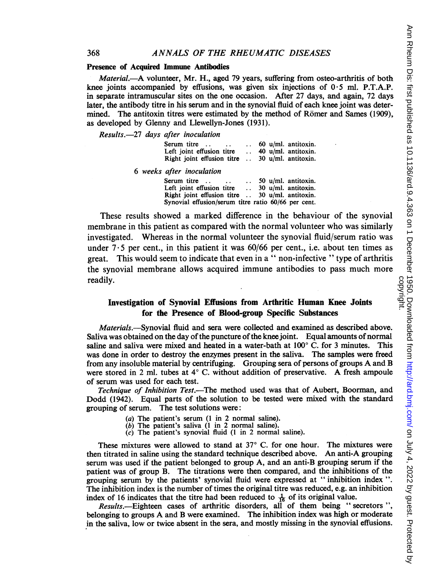### Presence of Acquired Immune Antibodies

Material.-A volunteer, Mr. H., aged 79 years, suffering from osteo-arthritis of both knee joints accompanied by effusions, was given six injections of  $0.5$  ml. P.T.A.P. in separate intramuscular sites on the one occasion. After 27 days, and again, 72 days later, the antibody titre in his serum and in the synovial fluid of each knee joint was determined. The antitoxin titres were estimated by the method of Römer and Sames (1909), as developed by Glenny and Llewellyn-Jones (1931).

Results.-27 days after inoculation

| Serum titre<br>$\ddot{\phantom{0}}$                     | $\ddotsc$ | 60 u/ml. antitoxin.                        |
|---------------------------------------------------------|-----------|--------------------------------------------|
| Left joint effusion titre<br>Right joint effusion titre | $\ddotsc$ | 40 u/ml. antitoxin.<br>30 u/ml. antitoxin. |

6 weeks after inoculation

| Serum titre<br>$\ddot{\phantom{0}}$                     | $\ddotsc$ |  | 50 u/ml. antitoxin. |
|---------------------------------------------------------|-----------|--|---------------------|
| Left joint effusion titre                               | $\sim$    |  | 30 u/ml. antitoxin. |
| Right joint effusion titre $\ldots$ 30 u/ml. antitoxin. |           |  |                     |
| Synovial effusion/serum titre ratio 60/66 per cent.     |           |  |                     |

These results showed a marked difference in the behaviour of the synovial membrane in this patient as compared with the normal volunteer who was similarly investigated. Whereas in the normal volunteer the synovial fluid/serum ratio was under  $7.5$  per cent., in this patient it was  $60/66$  per cent., i.e. about ten times as great. This would seem to indicate that even in a " non-infective " type of arthritis the synovial membrane allows acquired immune antibodies to pass much more readily.

# Investigation of Synovial Effusions from Arthritic Human Knee Joints for the Presence of Blood-group Specific Substances

Materials.—Synovial fluid and sera were collected and examined as described above. Saliva was obtained on the day of the puncture of the knee joint. Equal amounts of normal saline and saliva were mixed and heated in a water-bath at  $100^{\circ}$  C. for 3 minutes. This was done in order to destroy the enzymes present in the saliva. The samples were freed from any insoluble material by centrifuging. Grouping sera of persons of groups A and B were stored in 2 ml. tubes at  $4^{\circ}$  C. without addition of preservative. A fresh ampoule of serum was used for each test.

Technique of Inhibition Test.-The method used was that of Aubert, Boorman, and Dodd (1942). Equal parts of the solution to be tested were mixed with the standard grouping of serum. The test solutions were:

- (a) The patient's serum (1 in 2 normal saline).
- $(b)$  The patient's saliva  $(1 \text{ in } 2 \text{ normal saline}).$
- $(c)$  The patient's synovial fluid  $(1 \text{ in } 2 \text{ normal saline})$ .

These mixtures were allowed to stand at  $37^{\circ}$  C. for one hour. The mixtures were then titrated in saline using the standard technique described above. An anti-A grouping serum was used if the patient belonged to group A, and an anti-B grouping serum if the patient was of group B. The titrations were then compared, and the inhibitions of the grouping serum by the patients' synovial fluid were expressed at " inhibition index ". The inhibition index is the number of times the original titre was reduced, e.g. an inhibition index of 16 indicates that the titre had been reduced to  $\frac{1}{16}$  of its original value.

Results.-Eighteen cases of arthritic disorders, all of them being " secretors ", belonging to groups A and B were examined. The inhibition index was high or moderate in the saliva, low or twice absent in the sera, and mostly missing in the synovial effusions.

368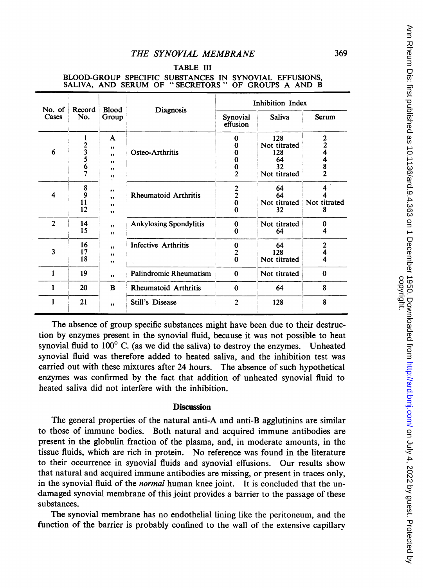# TABLE III

| No. of<br>Record |                    | <b>Blood</b>                                  | Diagnosis                     | Inhibition Index               |                                                        |                                                      |  |
|------------------|--------------------|-----------------------------------------------|-------------------------------|--------------------------------|--------------------------------------------------------|------------------------------------------------------|--|
| Cases            | No.                | Group                                         |                               | Synovial<br>effusion           | <b>Saliva</b>                                          | Serum                                                |  |
| 6                | 23567              | A<br>$^{\bullet}$<br>$, \,$<br>,,<br>,,<br>,, | Osteo-Arthritis               | 0<br>o<br>0<br>$\overline{2}$  | 128<br>Not titrated<br>128<br>64<br>32<br>Not titrated | 2<br>$\overline{2}$<br>4<br>4<br>8<br>$\overline{2}$ |  |
| 4                | 8<br>9<br>11<br>12 | ,,<br>,,<br>,,<br>,,                          | <b>Rheumatoid Arthritis</b>   | $\frac{2}{2}$<br>$\bf{0}$<br>0 | 64<br>64<br>Not titrated<br>32                         | Not titrated                                         |  |
| $\overline{2}$   | 14<br>15           | ,<br>,,                                       | <b>Ankylosing Spondylitis</b> | $\bf{0}$<br>0                  | Not titrated<br>64                                     | Λ                                                    |  |
| 3                | 16<br>17<br>18     | , ,<br>,,<br>,,                               | Infective Arthritis           | 0<br>2<br>$\bf{0}$             | 64<br>128<br>Not titrated                              | $\overline{2}$<br>4                                  |  |
|                  | 19                 | ,,                                            | Palindromic Rheumatism        | $\bf{0}$                       | Not titrated                                           | $\Omega$                                             |  |
| 1                | 20                 | $\bf{B}$                                      | <b>Rheumatoid Arthritis</b>   | $\mathbf 0$                    | 64                                                     | 8                                                    |  |
| 1                | 21                 | ,,                                            | <b>Still's Disease</b>        | $\overline{2}$                 | 128                                                    | 8                                                    |  |

# BLOOD-GROUP SPECIFIC SUBSTANCES IN SYNOVIAL EFFUSIONS, SALIVA, AND SERUM OF " SECRETORS " OF GROUPS A AND B

The absence of group specific substances might have been due to their destruction by enzymes present in the synovial fluid, because it was not possible to heat synovial fluid to  $100^{\circ}$  C. (as we did the saliva) to destroy the enzymes. Unheated synovial fluid was therefore added to heated saliva, and the inhibition test was carried out with these mixtures after 24 hours. The absence of such hypothetical enzymes was confirmed by the fact that addition of unheated synovial fluid to heated saliva did not interfere with the inhibition.

### **Discussion**

The general properties of the natural anti-A and anti-B agglutinins are similar to those of immune bodies. Both natural and acquired immune antibodies are present in the globulin fraction of the plasma, and, in moderate amounts, in the tissue fluids, which are rich in protein. No reference was found in the literature to their occurrence in synovial fluids and synovial effusions. Our results show that natural and acquired immune antibodies are missing, or present in traces only, in the synovial fluid of the *normal* human knee joint. It is concluded that the undamaged synovial membrane of this joint provides a barrier to the passage of these substances.

The synovial membrane has no endothelial lining like the peritoneum, and the function of the barrier is probably confined to the wall of the extensive capillarv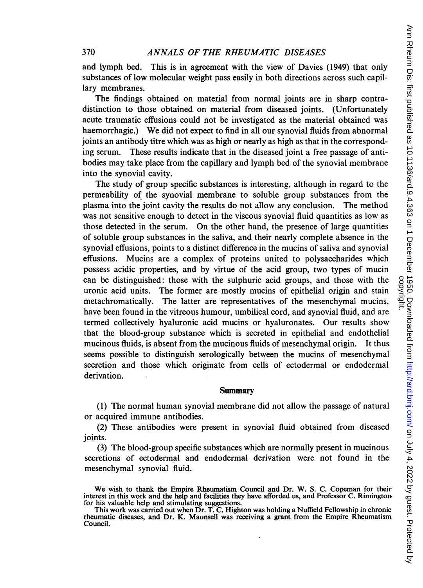and lymph bed. This is in agreement with the view of Davies (1949) that only substances of low molecular weight pass easily in both directions across such capillary membranes.

The findings obtained on material from normal joints are in sharp contradistinction to those obtained on material from diseased joints. (Unfortunately acute traumatic effusions could not be investigated as the material obtained was haemorrhagic.) We did not expect to find in all our synovial fluids from abnormal joints an antibody titre which was as high or nearly as high as that in the corresponding serum. These results indicate that in the diseased joint a free passage of antibodies may take place from the capillary and lymph bed of the synovial membrane into the synovial cavity.

The study of group specific substances is interesting, although in regard to the permeability of the synovial membrane to soluble group substances from the plasma into the joint cavity the results do not allow any conclusion. The method was not sensitive enough to detect in the viscous synovial fluid quantities as low as those detected in the serum. On the other hand, the presence of large quantities of soluble group substances in the saliva, and their nearly complete absence in the synovial effusions, points to a distinct difference in the mucins of saliva and synovial effusions. Mucins are a complex of proteins united to polysaccharides which possess acidic properties, and by virtue of the acid group, two types of mucin can be distinguished: those with the sulphuric acid groups, and those with the uronic acid units. The former are mostly mucins of epithelial origin and stain metachromatically. The latter are representatives of the mesenchymal mucins, have been found in the vitreous humour, umbilical cord, and synovial fluid, and are termed collectively hyaluronic acid mucins or hyaluronates. Our results show that the blood-group substance which is secreted in epithelial and endothelial mucinous fluids, is absent from the mucinous fluids of mesenchymal origin. It thus seems possible to distinguish serologically between the mucins of mesenchymal secretion and those which originate from cells of ectodermal or endodermal derivation.

### Summary

(1) The normal human synovial membrane did not allow the passage of natural or acquired immune antibodies.

(2) These antibodies were present in synovial fluid obtained from diseased joints.

(3) The blood-group specific substances which are normally present in mucinous secretions of ectodermal and endodermal derivation were not found in the mesenchymal synovial fluid.

We wish to thank the Empire Rheumatism Council and Dr. W. S. C. Copeman for their interest in this work and the help and facilities they have afforded us, and Professor C. Rimington for his valuable help and stimulating suggestions.

This work was carried out when Dr. T. C. Highton was holding a Nuffield Fellowship in chronic rheumatic diseases, and Dr. K. Maunsell was receiving a grant from the Empire Rheumatism Council.